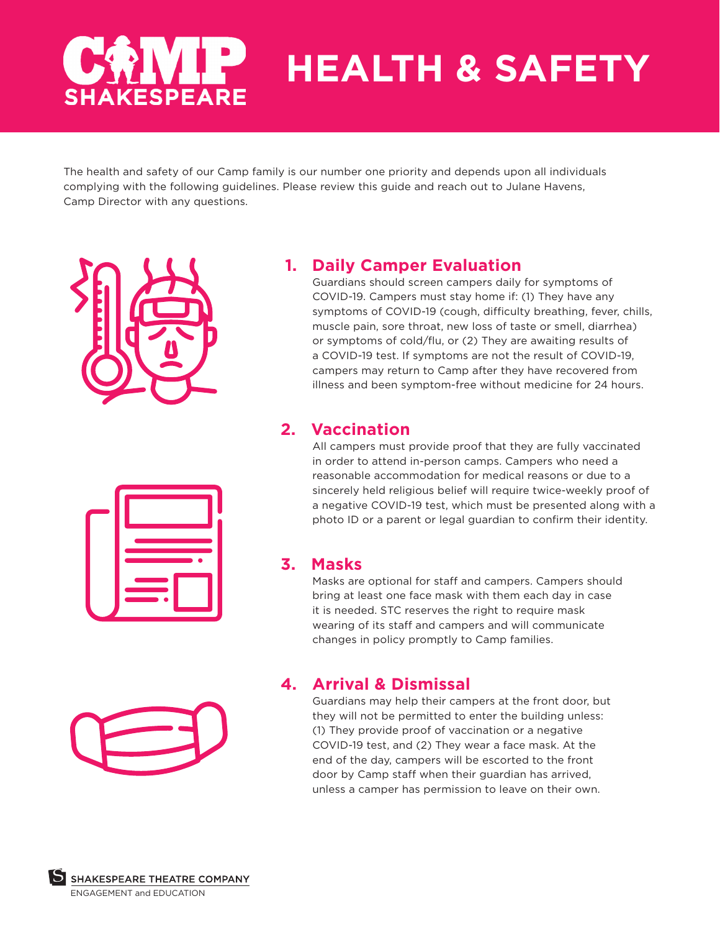# **HEALTH & SAFETY AKESPEARE**

The health and safety of our Camp family is our number one priority and depends upon all individuals complying with the following guidelines. Please review this guide and reach out to Julane Havens, Camp Director with any questions.



## **1. Daily Camper Evaluation**

Guardians should screen campers daily for symptoms of COVID-19. Campers must stay home if: (1) They have any symptoms of COVID-19 (cough, difficulty breathing, fever, chills, muscle pain, sore throat, new loss of taste or smell, diarrhea) or symptoms of cold/flu, or (2) They are awaiting results of a COVID-19 test. If symptoms are not the result of COVID-19, campers may return to Camp after they have recovered from illness and been symptom-free without medicine for 24 hours.

### **2. Vaccination**

All campers must provide proof that they are fully vaccinated in order to attend in-person camps. Campers who need a reasonable accommodation for medical reasons or due to a sincerely held religious belief will require twice-weekly proof of a negative COVID-19 test, which must be presented along with a photo ID or a parent or legal guardian to confirm their identity.

#### **3. Masks**

Masks are optional for staff and campers. Campers should bring at least one face mask with them each day in case it is needed. STC reserves the right to require mask wearing of its staff and campers and will communicate changes in policy promptly to Camp families.

#### **4. Arrival & Dismissal**

Guardians may help their campers at the front door, but they will not be permitted to enter the building unless: (1) They provide proof of vaccination or a negative COVID-19 test, and (2) They wear a face mask. At the end of the day, campers will be escorted to the front door by Camp staff when their guardian has arrived, unless a camper has permission to leave on their own.